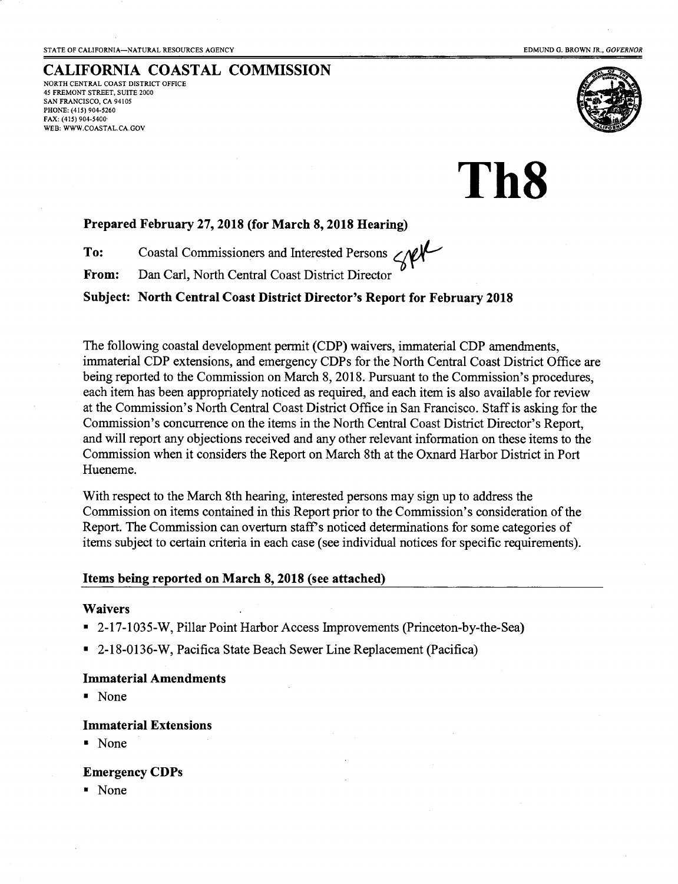# CALIFORNIA COASTAL COMMISSION

NORTH CENTRAL COAST DISTRICT OFFICE 45 FREMONT STREET, SUITE 2OOO SAN FRANCISCO, CA 94105 PHONE: (415) 904-5260 FAX: (415) 904-5400' WEB: WWW.COASTAL.CA.GOV



Th8

## Prepared February 27, 2018 (for March 8, 2018 Hearing)

To: Coastal Commissioners and Interested Persons  $\lll$ 

From: Dan Carl, North Central Coast District Director

Subject: North Central Coast District Director's Report for February 2018

The following coastal development permit (CDP) waivers, immaterial CDP amendments, immaterial CDP extensions, and emergency CDPs for the North Central Coast District Office are being reported to the Commission on March 8, 2018. Pursuant to the Commission's procedures, each item has been appropriately noticed as required, and each item is also available for review at the Commission's North Central Coast District Office in San Francisco. Staff is asking for the Commission's concurrence on the items in the North Central Coast District Director's Report, and will report any objections received and any other relevant information on these items to the Commission when it considers the Report on March 8th at the Oxnard Harbor District in Port Hueneme.

With respect to the March 8th hearing, interested persons may sign up to address the Commission on items contained in this Report prior to the Commission's consideration of the Report. The Commission can overturn stafPs noticed determinations for some categories of items subject to certain criteria in each case (see individual notices for specific requirements).

#### Items being reported on March 8, 2018 (see attached)

#### Waivers

- . 2-17-1035-W, Pillar Point Harbor Access Improvernents (Princeton-by-the-Sea)
- . 2-18-0136-W, Pacifica State Beach Sewer Line Replacement (Pacifica)

#### Immaterial Amendments

. None

#### Immaterial Extensions

. None

#### Emergency CDPs

r None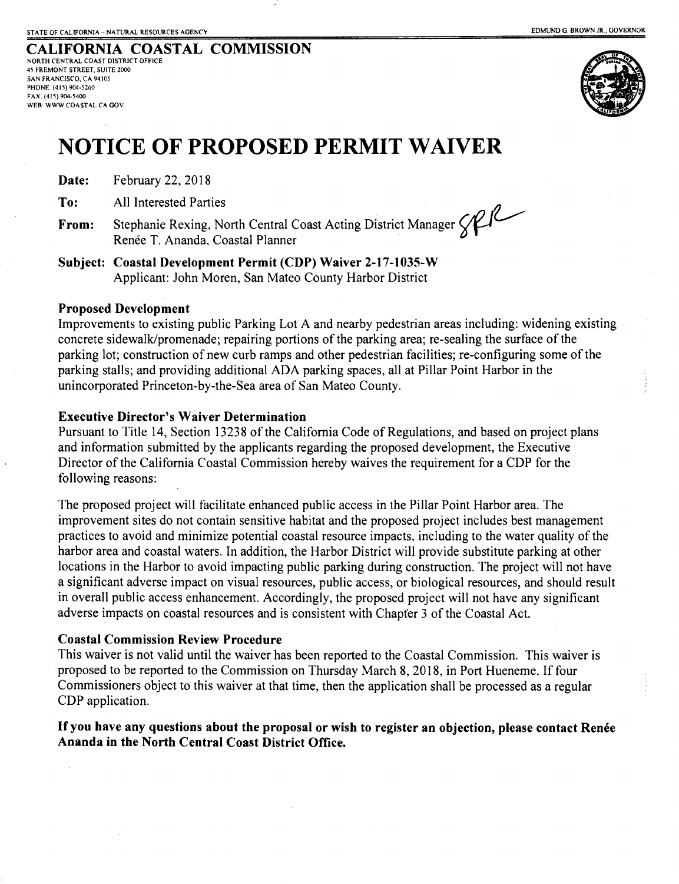CALIFORNIA COASTAL COMMISSION NORTH CENTRAL COAST DISTRICT OFFICE 45 FREMONT STREET, SUITE 2OOO SAN FRANCISCO, CA 94105 PHONE: (41 s) 904-5260 FAX: (41 5) 904,5400 WEB: WWW COASTAL.CA.GOV



# NOTICE OF PROPOSED PERMIT WAIVER

Date: February 22,2018

To: All Interested Parties

From: Stephanie Rexing, North Central Coast Acting District Manager  $\bigotimes$ Renée T. Ananda, Coastal Planner

Subject: Coastal Development Permit (CDP) Waiver 2-17-1035-W Applicant: John Moren, San Mateo County Harbor District

### Proposed Development

Improvements to existing public Parking Lot A and nearby pedestrian areas including: widening existing concrete sidewalk/promenade; repairing portions of the parking area; re-sealing the surface of the parking lot; construction of new curb ramps and other pedestrian facilities; re-confrguring some of the parking stalls; and providing additional ADA parking spaces, all at Pillar Point Harbor in the unincorporated Princeton-by-the-Sea area of San Mateo County.

### Executive Director's Waiver Determination

Pursuant to Title 14, Section 13238 of the California Code of Regulations, and based on project plans and information submitted by the applicants regarding the proposed development, the Executive Director of the California Coastal Commission hereby waives the requirement for a CDP for the following reasons:

The proposed project will facilitate enhanced public access in the Pillar Point Harbor area. The improvement sites do not contain sensitive habitat and the proposed project includes best management practices to avoid and minimize potential coastal resource impacts. including to the water quality of the harbor area and coastal waters. In addition, the Harbor District will provide substitute parking at other locations in the Harbor to avoid impacting public parking during construction. The project will not have a significant adverse impact on visual resources, public access, or biological resources, and should result in overall public access enhancement. Accordingly, the proposed project will not have any significant adverse impacts on coastal resources and is consistent with Chapter 3 of the Coastal Act.

#### Coastal Commission Review Procedure

This waiver is not valid until the waiver has been reported to the Coastal Commission. This waiver is proposed to be reported to the Commission on Thursday March 8, 2018, in Port Hueneme. If four Commissioners object to this waiver at that time, then the application shall be processed as a regular CDP application.

# If you have any questions about the proposal or wish to register an objection, please contact Renée Ananda in the North Central Coast District Office.